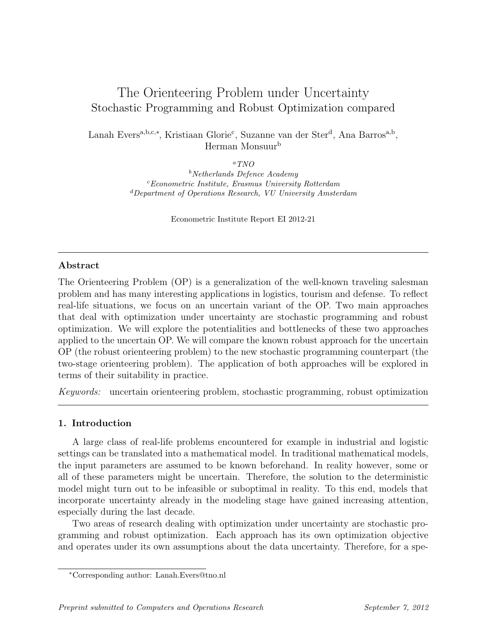# The Orienteering Problem under Uncertainty Stochastic Programming and Robust Optimization compared

Lanah Evers<sup>a,b,c,∗</sup>, Kristiaan Glorie<sup>c</sup>, Suzanne van der Ster<sup>d</sup>, Ana Barros<sup>a,b</sup>, Herman Monsuur<sup>b</sup>

 $\alpha TNO$ 

 $b$ Netherlands Defence Academy  $c<sup>c</sup>Econometric Institute, Erasmus University Rotterdam$ <sup>d</sup>Department of Operations Research, VU University Amsterdam

Econometric Institute Report EI 2012-21

# Abstract

The Orienteering Problem (OP) is a generalization of the well-known traveling salesman problem and has many interesting applications in logistics, tourism and defense. To reflect real-life situations, we focus on an uncertain variant of the OP. Two main approaches that deal with optimization under uncertainty are stochastic programming and robust optimization. We will explore the potentialities and bottlenecks of these two approaches applied to the uncertain OP. We will compare the known robust approach for the uncertain OP (the robust orienteering problem) to the new stochastic programming counterpart (the two-stage orienteering problem). The application of both approaches will be explored in terms of their suitability in practice.

Keywords: uncertain orienteering problem, stochastic programming, robust optimization

# 1. Introduction

A large class of real-life problems encountered for example in industrial and logistic settings can be translated into a mathematical model. In traditional mathematical models, the input parameters are assumed to be known beforehand. In reality however, some or all of these parameters might be uncertain. Therefore, the solution to the deterministic model might turn out to be infeasible or suboptimal in reality. To this end, models that incorporate uncertainty already in the modeling stage have gained increasing attention, especially during the last decade.

Two areas of research dealing with optimization under uncertainty are stochastic programming and robust optimization. Each approach has its own optimization objective and operates under its own assumptions about the data uncertainty. Therefore, for a spe-

<sup>∗</sup>Corresponding author: Lanah.Evers@tno.nl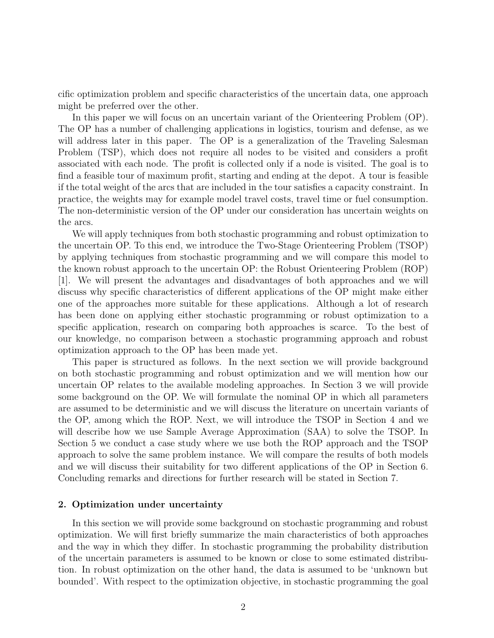cific optimization problem and specific characteristics of the uncertain data, one approach might be preferred over the other.

In this paper we will focus on an uncertain variant of the Orienteering Problem (OP). The OP has a number of challenging applications in logistics, tourism and defense, as we will address later in this paper. The OP is a generalization of the Traveling Salesman Problem (TSP), which does not require all nodes to be visited and considers a profit associated with each node. The profit is collected only if a node is visited. The goal is to find a feasible tour of maximum profit, starting and ending at the depot. A tour is feasible if the total weight of the arcs that are included in the tour satisfies a capacity constraint. In practice, the weights may for example model travel costs, travel time or fuel consumption. The non-deterministic version of the OP under our consideration has uncertain weights on the arcs.

We will apply techniques from both stochastic programming and robust optimization to the uncertain OP. To this end, we introduce the Two-Stage Orienteering Problem (TSOP) by applying techniques from stochastic programming and we will compare this model to the known robust approach to the uncertain OP: the Robust Orienteering Problem (ROP) [1]. We will present the advantages and disadvantages of both approaches and we will discuss why specific characteristics of different applications of the OP might make either one of the approaches more suitable for these applications. Although a lot of research has been done on applying either stochastic programming or robust optimization to a specific application, research on comparing both approaches is scarce. To the best of our knowledge, no comparison between a stochastic programming approach and robust optimization approach to the OP has been made yet.

This paper is structured as follows. In the next section we will provide background on both stochastic programming and robust optimization and we will mention how our uncertain OP relates to the available modeling approaches. In Section 3 we will provide some background on the OP. We will formulate the nominal OP in which all parameters are assumed to be deterministic and we will discuss the literature on uncertain variants of the OP, among which the ROP. Next, we will introduce the TSOP in Section 4 and we will describe how we use Sample Average Approximation (SAA) to solve the TSOP. In Section 5 we conduct a case study where we use both the ROP approach and the TSOP approach to solve the same problem instance. We will compare the results of both models and we will discuss their suitability for two different applications of the OP in Section 6. Concluding remarks and directions for further research will be stated in Section 7.

## 2. Optimization under uncertainty

In this section we will provide some background on stochastic programming and robust optimization. We will first briefly summarize the main characteristics of both approaches and the way in which they differ. In stochastic programming the probability distribution of the uncertain parameters is assumed to be known or close to some estimated distribution. In robust optimization on the other hand, the data is assumed to be 'unknown but bounded'. With respect to the optimization objective, in stochastic programming the goal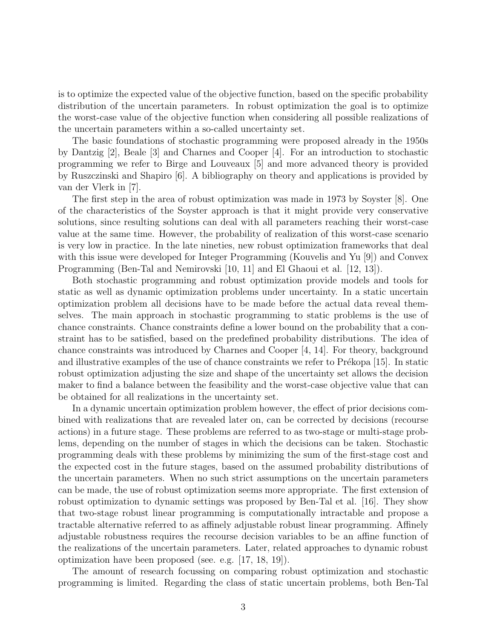is to optimize the expected value of the objective function, based on the specific probability distribution of the uncertain parameters. In robust optimization the goal is to optimize the worst-case value of the objective function when considering all possible realizations of the uncertain parameters within a so-called uncertainty set.

The basic foundations of stochastic programming were proposed already in the 1950s by Dantzig [2], Beale [3] and Charnes and Cooper [4]. For an introduction to stochastic programming we refer to Birge and Louveaux [5] and more advanced theory is provided by Ruszczinski and Shapiro [6]. A bibliography on theory and applications is provided by van der Vlerk in [7].

The first step in the area of robust optimization was made in 1973 by Soyster [8]. One of the characteristics of the Soyster approach is that it might provide very conservative solutions, since resulting solutions can deal with all parameters reaching their worst-case value at the same time. However, the probability of realization of this worst-case scenario is very low in practice. In the late nineties, new robust optimization frameworks that deal with this issue were developed for Integer Programming (Kouvelis and Yu [9]) and Convex Programming (Ben-Tal and Nemirovski [10, 11] and El Ghaoui et al. [12, 13]).

Both stochastic programming and robust optimization provide models and tools for static as well as dynamic optimization problems under uncertainty. In a static uncertain optimization problem all decisions have to be made before the actual data reveal themselves. The main approach in stochastic programming to static problems is the use of chance constraints. Chance constraints define a lower bound on the probability that a constraint has to be satisfied, based on the predefined probability distributions. The idea of chance constraints was introduced by Charnes and Cooper [4, 14]. For theory, background and illustrative examples of the use of chance constraints we refer to Prékopa  $|15|$ . In static robust optimization adjusting the size and shape of the uncertainty set allows the decision maker to find a balance between the feasibility and the worst-case objective value that can be obtained for all realizations in the uncertainty set.

In a dynamic uncertain optimization problem however, the effect of prior decisions combined with realizations that are revealed later on, can be corrected by decisions (recourse actions) in a future stage. These problems are referred to as two-stage or multi-stage problems, depending on the number of stages in which the decisions can be taken. Stochastic programming deals with these problems by minimizing the sum of the first-stage cost and the expected cost in the future stages, based on the assumed probability distributions of the uncertain parameters. When no such strict assumptions on the uncertain parameters can be made, the use of robust optimization seems more appropriate. The first extension of robust optimization to dynamic settings was proposed by Ben-Tal et al. [16]. They show that two-stage robust linear programming is computationally intractable and propose a tractable alternative referred to as affinely adjustable robust linear programming. Affinely adjustable robustness requires the recourse decision variables to be an affine function of the realizations of the uncertain parameters. Later, related approaches to dynamic robust optimization have been proposed (see. e.g. [17, 18, 19]).

The amount of research focussing on comparing robust optimization and stochastic programming is limited. Regarding the class of static uncertain problems, both Ben-Tal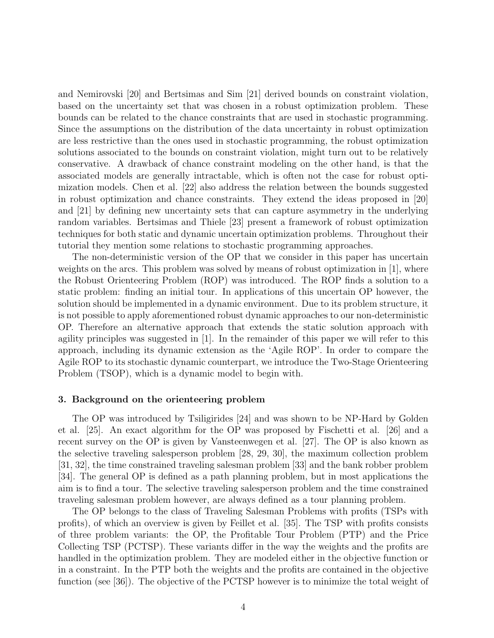and Nemirovski [20] and Bertsimas and Sim [21] derived bounds on constraint violation, based on the uncertainty set that was chosen in a robust optimization problem. These bounds can be related to the chance constraints that are used in stochastic programming. Since the assumptions on the distribution of the data uncertainty in robust optimization are less restrictive than the ones used in stochastic programming, the robust optimization solutions associated to the bounds on constraint violation, might turn out to be relatively conservative. A drawback of chance constraint modeling on the other hand, is that the associated models are generally intractable, which is often not the case for robust optimization models. Chen et al. [22] also address the relation between the bounds suggested in robust optimization and chance constraints. They extend the ideas proposed in [20] and [21] by defining new uncertainty sets that can capture asymmetry in the underlying random variables. Bertsimas and Thiele [23] present a framework of robust optimization techniques for both static and dynamic uncertain optimization problems. Throughout their tutorial they mention some relations to stochastic programming approaches.

The non-deterministic version of the OP that we consider in this paper has uncertain weights on the arcs. This problem was solved by means of robust optimization in [1], where the Robust Orienteering Problem (ROP) was introduced. The ROP finds a solution to a static problem: finding an initial tour. In applications of this uncertain OP however, the solution should be implemented in a dynamic environment. Due to its problem structure, it is not possible to apply aforementioned robust dynamic approaches to our non-deterministic OP. Therefore an alternative approach that extends the static solution approach with agility principles was suggested in [1]. In the remainder of this paper we will refer to this approach, including its dynamic extension as the 'Agile ROP'. In order to compare the Agile ROP to its stochastic dynamic counterpart, we introduce the Two-Stage Orienteering Problem (TSOP), which is a dynamic model to begin with.

#### 3. Background on the orienteering problem

The OP was introduced by Tsiligirides [24] and was shown to be NP-Hard by Golden et al. [25]. An exact algorithm for the OP was proposed by Fischetti et al. [26] and a recent survey on the OP is given by Vansteenwegen et al. [27]. The OP is also known as the selective traveling salesperson problem [28, 29, 30], the maximum collection problem [31, 32], the time constrained traveling salesman problem [33] and the bank robber problem [34]. The general OP is defined as a path planning problem, but in most applications the aim is to find a tour. The selective traveling salesperson problem and the time constrained traveling salesman problem however, are always defined as a tour planning problem.

The OP belongs to the class of Traveling Salesman Problems with profits (TSPs with profits), of which an overview is given by Feillet et al. [35]. The TSP with profits consists of three problem variants: the OP, the Profitable Tour Problem (PTP) and the Price Collecting TSP (PCTSP). These variants differ in the way the weights and the profits are handled in the optimization problem. They are modeled either in the objective function or in a constraint. In the PTP both the weights and the profits are contained in the objective function (see [36]). The objective of the PCTSP however is to minimize the total weight of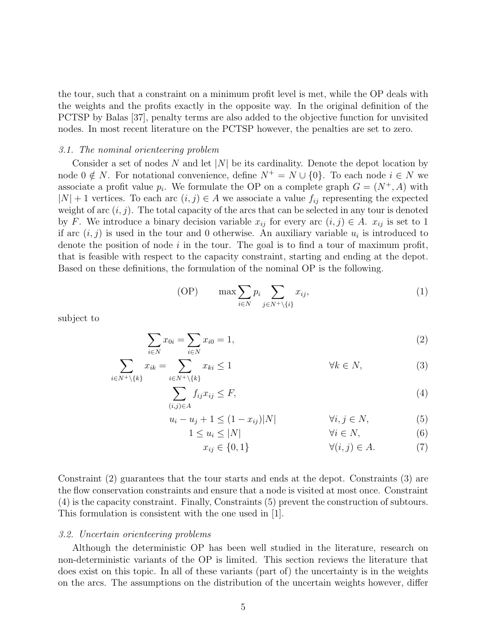the tour, such that a constraint on a minimum profit level is met, while the OP deals with the weights and the profits exactly in the opposite way. In the original definition of the PCTSP by Balas [37], penalty terms are also added to the objective function for unvisited nodes. In most recent literature on the PCTSP however, the penalties are set to zero.

## 3.1. The nominal orienteering problem

Consider a set of nodes N and let  $|N|$  be its cardinality. Denote the depot location by node  $0 \notin N$ . For notational convenience, define  $N^+ = N \cup \{0\}$ . To each node  $i \in N$  we associate a profit value  $p_i$ . We formulate the OP on a complete graph  $G = (N^+, A)$  with  $|N| + 1$  vertices. To each arc  $(i, j) \in A$  we associate a value  $f_{ij}$  representing the expected weight of arc  $(i, j)$ . The total capacity of the arcs that can be selected in any tour is denoted by F. We introduce a binary decision variable  $x_{ij}$  for every arc  $(i, j) \in A$ .  $x_{ij}$  is set to 1 if arc  $(i, j)$  is used in the tour and 0 otherwise. An auxiliary variable  $u_i$  is introduced to denote the position of node  $i$  in the tour. The goal is to find a tour of maximum profit, that is feasible with respect to the capacity constraint, starting and ending at the depot. Based on these definitions, the formulation of the nominal OP is the following.

$$
(OP) \qquad \max \sum_{i \in N} p_i \sum_{j \in N^+ \setminus \{i\}} x_{ij}, \tag{1}
$$

subject to

$$
\sum_{i \in N} x_{0i} = \sum_{i \in N} x_{i0} = 1,\tag{2}
$$

$$
\sum_{i \in N^+ \setminus \{k\}} x_{ik} = \sum_{i \in N^+ \setminus \{k\}} x_{ki} \le 1 \qquad \forall k \in N,
$$
\n(3)

$$
\sum_{(i,j)\in A} f_{ij}x_{ij} \le F,\tag{4}
$$

$$
u_i - u_j + 1 \le (1 - x_{ij})|N| \qquad \forall i, j \in N,
$$
\n<sup>(5)</sup>

$$
1 \le u_i \le |N| \qquad \qquad \forall i \in N, \tag{6}
$$

 $x_{ij} \in \{0, 1\}$   $\forall (i, j) \in A.$  (7)

Constraint (2) guarantees that the tour starts and ends at the depot. Constraints (3) are the flow conservation constraints and ensure that a node is visited at most once. Constraint (4) is the capacity constraint. Finally, Constraints (5) prevent the construction of subtours. This formulation is consistent with the one used in [1].

#### 3.2. Uncertain orienteering problems

Although the deterministic OP has been well studied in the literature, research on non-deterministic variants of the OP is limited. This section reviews the literature that does exist on this topic. In all of these variants (part of) the uncertainty is in the weights on the arcs. The assumptions on the distribution of the uncertain weights however, differ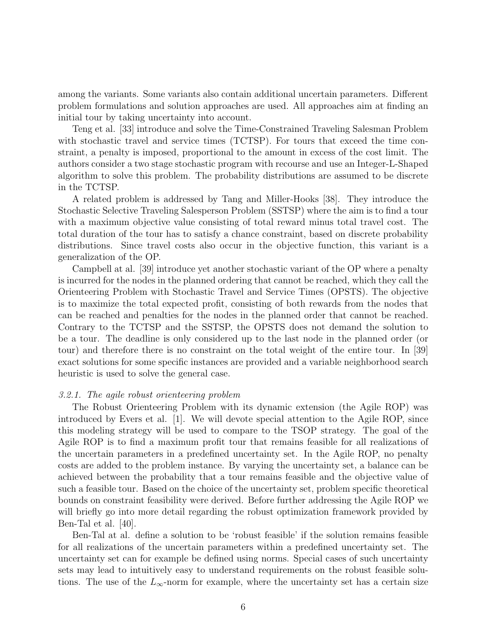among the variants. Some variants also contain additional uncertain parameters. Different problem formulations and solution approaches are used. All approaches aim at finding an initial tour by taking uncertainty into account.

Teng et al. [33] introduce and solve the Time-Constrained Traveling Salesman Problem with stochastic travel and service times (TCTSP). For tours that exceed the time constraint, a penalty is imposed, proportional to the amount in excess of the cost limit. The authors consider a two stage stochastic program with recourse and use an Integer-L-Shaped algorithm to solve this problem. The probability distributions are assumed to be discrete in the TCTSP.

A related problem is addressed by Tang and Miller-Hooks [38]. They introduce the Stochastic Selective Traveling Salesperson Problem (SSTSP) where the aim is to find a tour with a maximum objective value consisting of total reward minus total travel cost. The total duration of the tour has to satisfy a chance constraint, based on discrete probability distributions. Since travel costs also occur in the objective function, this variant is a generalization of the OP.

Campbell at al. [39] introduce yet another stochastic variant of the OP where a penalty is incurred for the nodes in the planned ordering that cannot be reached, which they call the Orienteering Problem with Stochastic Travel and Service Times (OPSTS). The objective is to maximize the total expected profit, consisting of both rewards from the nodes that can be reached and penalties for the nodes in the planned order that cannot be reached. Contrary to the TCTSP and the SSTSP, the OPSTS does not demand the solution to be a tour. The deadline is only considered up to the last node in the planned order (or tour) and therefore there is no constraint on the total weight of the entire tour. In [39] exact solutions for some specific instances are provided and a variable neighborhood search heuristic is used to solve the general case.

#### 3.2.1. The agile robust orienteering problem

The Robust Orienteering Problem with its dynamic extension (the Agile ROP) was introduced by Evers et al. [1]. We will devote special attention to the Agile ROP, since this modeling strategy will be used to compare to the TSOP strategy. The goal of the Agile ROP is to find a maximum profit tour that remains feasible for all realizations of the uncertain parameters in a predefined uncertainty set. In the Agile ROP, no penalty costs are added to the problem instance. By varying the uncertainty set, a balance can be achieved between the probability that a tour remains feasible and the objective value of such a feasible tour. Based on the choice of the uncertainty set, problem specific theoretical bounds on constraint feasibility were derived. Before further addressing the Agile ROP we will briefly go into more detail regarding the robust optimization framework provided by Ben-Tal et al. [40].

Ben-Tal at al. define a solution to be 'robust feasible' if the solution remains feasible for all realizations of the uncertain parameters within a predefined uncertainty set. The uncertainty set can for example be defined using norms. Special cases of such uncertainty sets may lead to intuitively easy to understand requirements on the robust feasible solutions. The use of the  $L_{\infty}$ -norm for example, where the uncertainty set has a certain size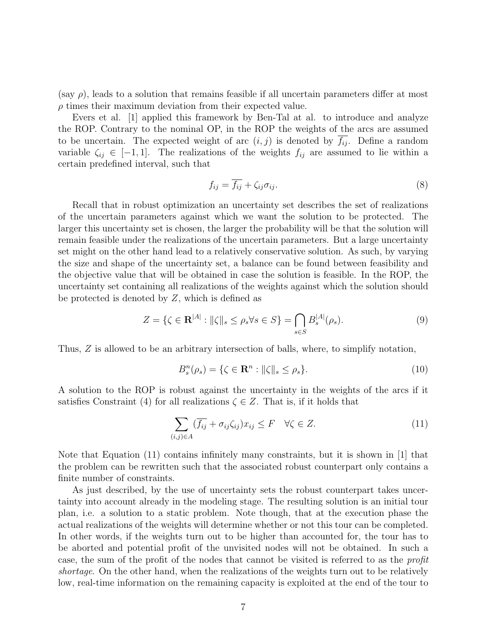(say  $\rho$ ), leads to a solution that remains feasible if all uncertain parameters differ at most  $\rho$  times their maximum deviation from their expected value.

Evers et al. [1] applied this framework by Ben-Tal at al. to introduce and analyze the ROP. Contrary to the nominal OP, in the ROP the weights of the arcs are assumed to be uncertain. The expected weight of arc  $(i, j)$  is denoted by  $\overline{f_{ij}}$ . Define a random variable  $\zeta_{ij} \in [-1, 1]$ . The realizations of the weights  $f_{ij}$  are assumed to lie within a certain predefined interval, such that

$$
f_{ij} = \overline{f_{ij}} + \zeta_{ij}\sigma_{ij}.\tag{8}
$$

Recall that in robust optimization an uncertainty set describes the set of realizations of the uncertain parameters against which we want the solution to be protected. The larger this uncertainty set is chosen, the larger the probability will be that the solution will remain feasible under the realizations of the uncertain parameters. But a large uncertainty set might on the other hand lead to a relatively conservative solution. As such, by varying the size and shape of the uncertainty set, a balance can be found between feasibility and the objective value that will be obtained in case the solution is feasible. In the ROP, the uncertainty set containing all realizations of the weights against which the solution should be protected is denoted by  $Z$ , which is defined as

$$
Z = \{ \zeta \in \mathbf{R}^{|A|} : ||\zeta||_s \le \rho_s \forall s \in S \} = \bigcap_{s \in S} B_s^{|A|}(\rho_s). \tag{9}
$$

Thus, Z is allowed to be an arbitrary intersection of balls, where, to simplify notation,

$$
B_s^n(\rho_s) = \{ \zeta \in \mathbf{R}^n : ||\zeta||_s \le \rho_s \}. \tag{10}
$$

A solution to the ROP is robust against the uncertainty in the weights of the arcs if it satisfies Constraint (4) for all realizations  $\zeta \in \mathbb{Z}$ . That is, if it holds that

$$
\sum_{(i,j)\in A} (\overline{f_{ij}} + \sigma_{ij}\zeta_{ij}) x_{ij} \le F \quad \forall \zeta \in Z.
$$
 (11)

Note that Equation (11) contains infinitely many constraints, but it is shown in [1] that the problem can be rewritten such that the associated robust counterpart only contains a finite number of constraints.

As just described, by the use of uncertainty sets the robust counterpart takes uncertainty into account already in the modeling stage. The resulting solution is an initial tour plan, i.e. a solution to a static problem. Note though, that at the execution phase the actual realizations of the weights will determine whether or not this tour can be completed. In other words, if the weights turn out to be higher than accounted for, the tour has to be aborted and potential profit of the unvisited nodes will not be obtained. In such a case, the sum of the profit of the nodes that cannot be visited is referred to as the profit shortage. On the other hand, when the realizations of the weights turn out to be relatively low, real-time information on the remaining capacity is exploited at the end of the tour to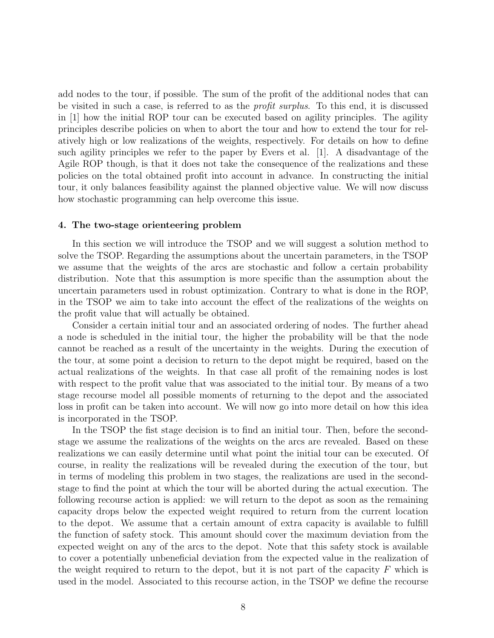add nodes to the tour, if possible. The sum of the profit of the additional nodes that can be visited in such a case, is referred to as the profit surplus. To this end, it is discussed in [1] how the initial ROP tour can be executed based on agility principles. The agility principles describe policies on when to abort the tour and how to extend the tour for relatively high or low realizations of the weights, respectively. For details on how to define such agility principles we refer to the paper by Evers et al. [1]. A disadvantage of the Agile ROP though, is that it does not take the consequence of the realizations and these policies on the total obtained profit into account in advance. In constructing the initial tour, it only balances feasibility against the planned objective value. We will now discuss how stochastic programming can help overcome this issue.

# 4. The two-stage orienteering problem

In this section we will introduce the TSOP and we will suggest a solution method to solve the TSOP. Regarding the assumptions about the uncertain parameters, in the TSOP we assume that the weights of the arcs are stochastic and follow a certain probability distribution. Note that this assumption is more specific than the assumption about the uncertain parameters used in robust optimization. Contrary to what is done in the ROP, in the TSOP we aim to take into account the effect of the realizations of the weights on the profit value that will actually be obtained.

Consider a certain initial tour and an associated ordering of nodes. The further ahead a node is scheduled in the initial tour, the higher the probability will be that the node cannot be reached as a result of the uncertainty in the weights. During the execution of the tour, at some point a decision to return to the depot might be required, based on the actual realizations of the weights. In that case all profit of the remaining nodes is lost with respect to the profit value that was associated to the initial tour. By means of a two stage recourse model all possible moments of returning to the depot and the associated loss in profit can be taken into account. We will now go into more detail on how this idea is incorporated in the TSOP.

In the TSOP the fist stage decision is to find an initial tour. Then, before the secondstage we assume the realizations of the weights on the arcs are revealed. Based on these realizations we can easily determine until what point the initial tour can be executed. Of course, in reality the realizations will be revealed during the execution of the tour, but in terms of modeling this problem in two stages, the realizations are used in the secondstage to find the point at which the tour will be aborted during the actual execution. The following recourse action is applied: we will return to the depot as soon as the remaining capacity drops below the expected weight required to return from the current location to the depot. We assume that a certain amount of extra capacity is available to fulfill the function of safety stock. This amount should cover the maximum deviation from the expected weight on any of the arcs to the depot. Note that this safety stock is available to cover a potentially unbeneficial deviation from the expected value in the realization of the weight required to return to the depot, but it is not part of the capacity  $F$  which is used in the model. Associated to this recourse action, in the TSOP we define the recourse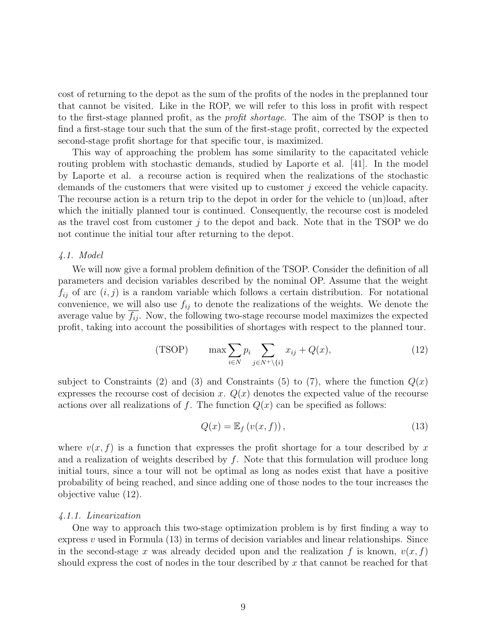cost of returning to the depot as the sum of the profits of the nodes in the preplanned tour that cannot be visited. Like in the ROP, we will refer to this loss in profit with respect to the first-stage planned profit, as the *profit shortage*. The aim of the TSOP is then to find a first-stage tour such that the sum of the first-stage profit, corrected by the expected second-stage profit shortage for that specific tour, is maximized.

This way of approaching the problem has some similarity to the capacitated vehicle routing problem with stochastic demands, studied by Laporte et al. [41]. In the model by Laporte et al. a recourse action is required when the realizations of the stochastic demands of the customers that were visited up to customer  $j$  exceed the vehicle capacity. The recourse action is a return trip to the depot in order for the vehicle to (un)load, after which the initially planned tour is continued. Consequently, the recourse cost is modeled as the travel cost from customer  $j$  to the depot and back. Note that in the TSOP we do not continue the initial tour after returning to the depot.

## 4.1. Model

We will now give a formal problem definition of the TSOP. Consider the definition of all parameters and decision variables described by the nominal OP. Assume that the weight  $f_{ij}$  of arc  $(i, j)$  is a random variable which follows a certain distribution. For notational convenience, we will also use  $f_{ij}$  to denote the realizations of the weights. We denote the average value by  $f_{ij}$ . Now, the following two-stage recourse model maximizes the expected profit, taking into account the possibilities of shortages with respect to the planned tour.

(TSOP) 
$$
\max \sum_{i \in N} p_i \sum_{j \in N^+ \setminus \{i\}} x_{ij} + Q(x), \tag{12}
$$

subject to Constraints (2) and (3) and Constraints (5) to (7), where the function  $Q(x)$ expresses the recourse cost of decision x.  $Q(x)$  denotes the expected value of the recourse actions over all realizations of f. The function  $Q(x)$  can be specified as follows:

$$
Q(x) = \mathbb{E}_f\left(v(x, f)\right),\tag{13}
$$

where  $v(x, f)$  is a function that expresses the profit shortage for a tour described by x and a realization of weights described by  $f$ . Note that this formulation will produce long initial tours, since a tour will not be optimal as long as nodes exist that have a positive probability of being reached, and since adding one of those nodes to the tour increases the objective value (12).

#### 4.1.1. Linearization

One way to approach this two-stage optimization problem is by first finding a way to express  $v$  used in Formula (13) in terms of decision variables and linear relationships. Since in the second-stage x was already decided upon and the realization f is known,  $v(x, f)$ should express the cost of nodes in the tour described by  $x$  that cannot be reached for that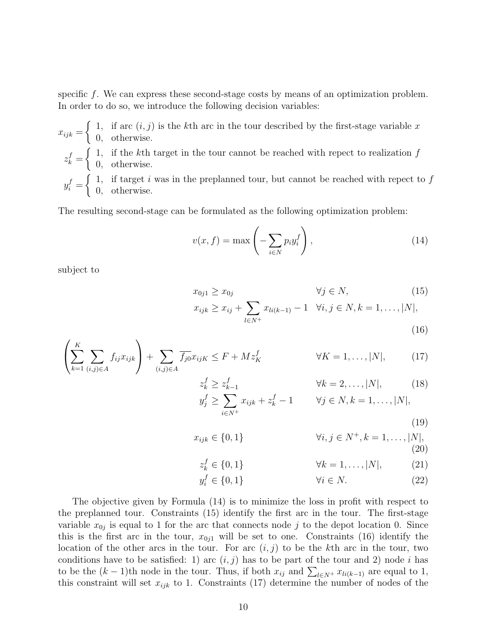specific f. We can express these second-stage costs by means of an optimization problem. In order to do so, we introduce the following decision variables:

 $x_{ijk} =$  $\int 1$ , if arc  $(i, j)$  is the kth arc in the tour described by the first-stage variable x 0, otherwise.

 $z_k^f =$  $\int 1$ , if the kth target in the tour cannot be reached with repect to realization f 0, otherwise.

 $y_i^f =$  $\int 1$ , if target i was in the preplanned tour, but cannot be reached with repect to f 0, otherwise.

The resulting second-stage can be formulated as the following optimization problem:

$$
v(x,f) = \max\left(-\sum_{i \in N} p_i y_i^f\right),\tag{14}
$$

subject to

$$
x_{0j1} \ge x_{0j} \qquad \forall j \in N,
$$
\n
$$
x_{ijk} \ge x_{ij} + \sum_{l \in N^{+}} x_{li(k-1)} - 1 \quad \forall i, j \in N, k = 1, ..., |N|,
$$
\n(16)

$$
\left(\sum_{k=1}^{K} \sum_{(i,j)\in A} f_{ij} x_{ijk}\right) + \sum_{(i,j)\in A} \overline{f_{j0}} x_{ijk} \le F + M z_K^f \qquad \forall K = 1, ..., |N|,
$$
 (17)

$$
z_k^f \ge z_{k-1}^f \qquad \forall k = 2, \dots, |N|, \qquad (18)
$$
  

$$
y_j^f \ge \sum_{i \in N^+} x_{ijk} + z_k^f - 1 \qquad \forall j \in N, k = 1, \dots, |N|,
$$

(19)  

$$
x_{ijk} \in \{0, 1\} \qquad \forall i, j \in N^+, k = 1, ..., |N|,
$$
  
(20)

$$
z_k^f \in \{0, 1\} \qquad \forall k = 1, \dots, |N|, \tag{21}
$$

$$
y_i^f \in \{0, 1\} \qquad \qquad \forall i \in N. \tag{22}
$$

The objective given by Formula (14) is to minimize the loss in profit with respect to the preplanned tour. Constraints (15) identify the first arc in the tour. The first-stage variable  $x_{0j}$  is equal to 1 for the arc that connects node j to the depot location 0. Since this is the first arc in the tour,  $x_{0i1}$  will be set to one. Constraints (16) identify the location of the other arcs in the tour. For arc  $(i, j)$  to be the kth arc in the tour, two conditions have to be satisfied: 1) arc  $(i, j)$  has to be part of the tour and 2) node i has to be the  $(k-1)$ th node in the tour. Thus, if both  $x_{ij}$  and  $\sum_{l\in N^+} x_{li(k-1)}$  are equal to 1, this constraint will set  $x_{ijk}$  to 1. Constraints (17) determine the number of nodes of the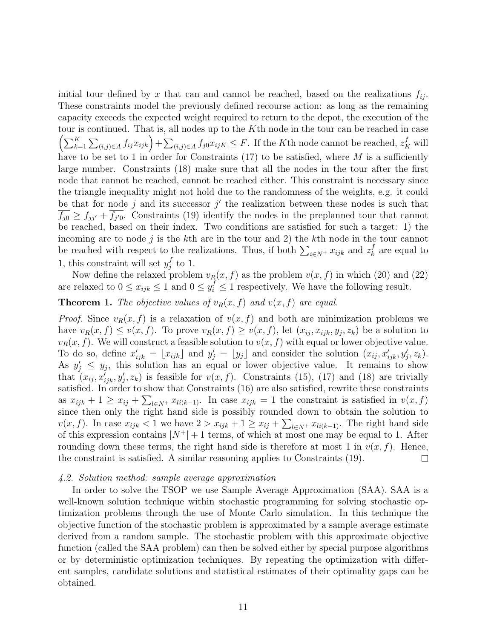initial tour defined by x that can and cannot be reached, based on the realizations  $f_{ij}$ . These constraints model the previously defined recourse action: as long as the remaining capacity exceeds the expected weight required to return to the depot, the execution of the tour is continued. That is, all nodes up to the Kth node in the tour can be reached in case  $\left(\sum_{k=1}^K\sum_{(i,j)\in A}f_{ij}x_{ijk}\right)+\sum_{(i,j)\in A}\overline{f_{j0}}x_{ijk}\leq F.$  If the K<sup>th</sup> node cannot be reached,  $z_K^f$  will have to be set to 1 in order for Constraints  $(17)$  to be satisfied, where M is a sufficiently large number. Constraints (18) make sure that all the nodes in the tour after the first node that cannot be reached, cannot be reached either. This constraint is necessary since the triangle inequality might not hold due to the randomness of the weights, e.g. it could be that for node j and its successor  $j'$  the realization between these nodes is such that  $f_{j0} \geq f_{jj'} + \overline{f_{j'0}}$ . Constraints (19) identify the nodes in the preplanned tour that cannot be reached, based on their index. Two conditions are satisfied for such a target: 1) the incoming arc to node  $j$  is the kth arc in the tour and 2) the kth node in the tour cannot be reached with respect to the realizations. Thus, if both  $\sum_{i \in N^+} x_{ijk}$  and  $z_k^f$  $\frac{f}{k}$  are equal to 1, this constraint will set  $y_i^f$  $_j^f$  to 1.

Now define the relaxed problem  $v_R(x, f)$  as the problem  $v(x, f)$  in which (20) and (22) are relaxed to  $0 \le x_{ijk} \le 1$  and  $0 \le y_i^f \le 1$  respectively. We have the following result.

# **Theorem 1.** The objective values of  $v_R(x, f)$  and  $v(x, f)$  are equal.

*Proof.* Since  $v_R(x, f)$  is a relaxation of  $v(x, f)$  and both are minimization problems we have  $v_R(x, f) \le v(x, f)$ . To prove  $v_R(x, f) \ge v(x, f)$ , let  $(x_{ij}, x_{ijk}, y_j, z_k)$  be a solution to  $v_R(x, f)$ . We will construct a feasible solution to  $v(x, f)$  with equal or lower objective value. To do so, define  $x'_{ijk} = \lfloor x_{ijk} \rfloor$  and  $y'_j = \lfloor y_j \rfloor$  and consider the solution  $(x_{ij}, x'_{ijk}, y'_j, z_k)$ . As  $y'_j \leq y_j$ , this solution has an equal or lower objective value. It remains to show that  $(x_{ij}, x'_{ijk}, y'_{j}, z_k)$  is feasible for  $v(x, f)$ . Constraints (15), (17) and (18) are trivially satisfied. In order to show that Constraints (16) are also satisfied, rewrite these constraints as  $x_{ijk} + 1 \geq x_{ij} + \sum_{l \in \mathbb{N}^+} x_{li(k-1)}$ . In case  $x_{ijk} = 1$  the constraint is satisfied in  $v(x, f)$ since then only the right hand side is possibly rounded down to obtain the solution to  $v(x, f)$ . In case  $x_{ijk} < 1$  we have  $2 > x_{ijk} + 1 \ge x_{ij} + \sum_{l \in N^+} x_{li(k-1)}$ . The right hand side of this expression contains  $|N^+|+1$  terms, of which at most one may be equal to 1. After rounding down these terms, the right hand side is therefore at most 1 in  $v(x, f)$ . Hence, the constraint is satisfied. A similar reasoning applies to Constraints (19).  $\Box$ 

# 4.2. Solution method: sample average approximation

In order to solve the TSOP we use Sample Average Approximation (SAA). SAA is a well-known solution technique within stochastic programming for solving stochastic optimization problems through the use of Monte Carlo simulation. In this technique the objective function of the stochastic problem is approximated by a sample average estimate derived from a random sample. The stochastic problem with this approximate objective function (called the SAA problem) can then be solved either by special purpose algorithms or by deterministic optimization techniques. By repeating the optimization with different samples, candidate solutions and statistical estimates of their optimality gaps can be obtained.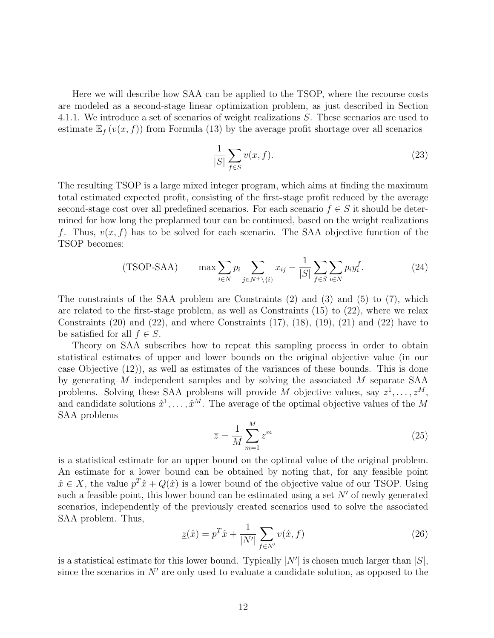Here we will describe how SAA can be applied to the TSOP, where the recourse costs are modeled as a second-stage linear optimization problem, as just described in Section 4.1.1. We introduce a set of scenarios of weight realizations S. These scenarios are used to estimate  $\mathbb{E}_f(v(x, f))$  from Formula (13) by the average profit shortage over all scenarios

$$
\frac{1}{|S|} \sum_{f \in S} v(x, f). \tag{23}
$$

The resulting TSOP is a large mixed integer program, which aims at finding the maximum total estimated expected profit, consisting of the first-stage profit reduced by the average second-stage cost over all predefined scenarios. For each scenario  $f \in S$  it should be determined for how long the preplanned tour can be continued, based on the weight realizations f. Thus,  $v(x, f)$  has to be solved for each scenario. The SAA objective function of the TSOP becomes:

(TSOP-SAA) 
$$
\max \sum_{i \in N} p_i \sum_{j \in N^+ \setminus \{i\}} x_{ij} - \frac{1}{|S|} \sum_{f \in S} \sum_{i \in N} p_i y_i^f. \tag{24}
$$

The constraints of the SAA problem are Constraints (2) and (3) and (5) to (7), which are related to the first-stage problem, as well as Constraints (15) to (22), where we relax Constraints  $(20)$  and  $(22)$ , and where Constraints  $(17)$ ,  $(18)$ ,  $(19)$ ,  $(21)$  and  $(22)$  have to be satisfied for all  $f \in S$ .

Theory on SAA subscribes how to repeat this sampling process in order to obtain statistical estimates of upper and lower bounds on the original objective value (in our case Objective (12)), as well as estimates of the variances of these bounds. This is done by generating M independent samples and by solving the associated M separate SAA problems. Solving these SAA problems will provide M objective values, say  $z^1, \ldots, z^M$ , and candidate solutions  $\hat{x}^1, \ldots, \hat{x}^M$ . The average of the optimal objective values of the M SAA problems

$$
\overline{z} = \frac{1}{M} \sum_{m=1}^{M} z^m
$$
\n(25)

is a statistical estimate for an upper bound on the optimal value of the original problem. An estimate for a lower bound can be obtained by noting that, for any feasible point  $\hat{x} \in X$ , the value  $p^T \hat{x} + Q(\hat{x})$  is a lower bound of the objective value of our TSOP. Using such a feasible point, this lower bound can be estimated using a set  $N'$  of newly generated scenarios, independently of the previously created scenarios used to solve the associated SAA problem. Thus,

$$
\underline{z}(\hat{x}) = p^T \hat{x} + \frac{1}{|N'|} \sum_{f \in N'} v(\hat{x}, f) \tag{26}
$$

is a statistical estimate for this lower bound. Typically  $|N'|$  is chosen much larger than  $|S|$ , since the scenarios in  $N'$  are only used to evaluate a candidate solution, as opposed to the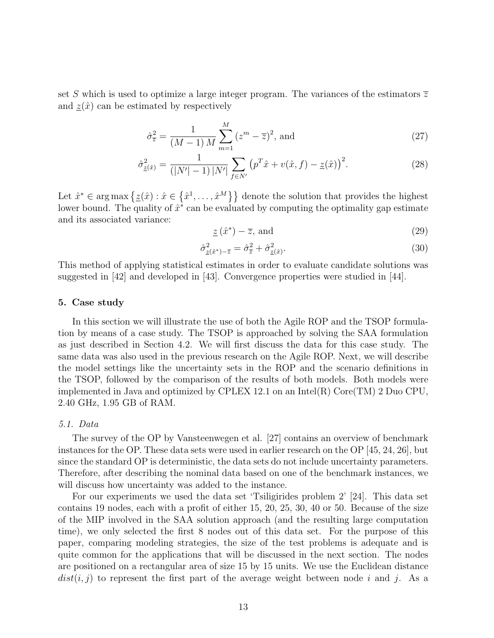set S which is used to optimize a large integer program. The variances of the estimators  $\overline{z}$ and  $z(\hat{x})$  can be estimated by respectively

$$
\hat{\sigma}_{\overline{z}}^2 = \frac{1}{(M-1) M} \sum_{m=1}^{M} (z^m - \overline{z})^2, \text{ and}
$$
 (27)

$$
\hat{\sigma}_{\underline{z}(\hat{x})}^2 = \frac{1}{(|N'|-1)|N'|} \sum_{f \in N'} \left( p^T \hat{x} + v(\hat{x}, f) - \underline{z}(\hat{x}) \right)^2.
$$
 (28)

Let  $\hat{x}^* \in \arg \max \{\underline{z}(\hat{x}) : \hat{x} \in \{\hat{x}^1, \ldots, \hat{x}^M\}\}\$ denote the solution that provides the highest lower bound. The quality of  $\hat{x}^*$  can be evaluated by computing the optimality gap estimate and its associated variance:

$$
\underline{z}\left(\hat{x}^*\right) - \overline{z}, \text{ and} \tag{29}
$$

$$
\hat{\sigma}_{\underline{z}(\hat{x}^*)-\overline{z}}^2 = \hat{\sigma}_{\overline{z}}^2 + \hat{\sigma}_{\underline{z}(\hat{x})}^2.
$$
\n(30)

This method of applying statistical estimates in order to evaluate candidate solutions was suggested in [42] and developed in [43]. Convergence properties were studied in [44].

#### 5. Case study

In this section we will illustrate the use of both the Agile ROP and the TSOP formulation by means of a case study. The TSOP is approached by solving the SAA formulation as just described in Section 4.2. We will first discuss the data for this case study. The same data was also used in the previous research on the Agile ROP. Next, we will describe the model settings like the uncertainty sets in the ROP and the scenario definitions in the TSOP, followed by the comparison of the results of both models. Both models were implemented in Java and optimized by CPLEX 12.1 on an Intel(R)  $Core(TM)$  2 Duo CPU, 2.40 GHz, 1.95 GB of RAM.

#### 5.1. Data

The survey of the OP by Vansteenwegen et al. [27] contains an overview of benchmark instances for the OP. These data sets were used in earlier research on the OP [45, 24, 26], but since the standard OP is deterministic, the data sets do not include uncertainty parameters. Therefore, after describing the nominal data based on one of the benchmark instances, we will discuss how uncertainty was added to the instance.

For our experiments we used the data set 'Tsiligirides problem 2' [24]. This data set contains 19 nodes, each with a profit of either 15, 20, 25, 30, 40 or 50. Because of the size of the MIP involved in the SAA solution approach (and the resulting large computation time), we only selected the first 8 nodes out of this data set. For the purpose of this paper, comparing modeling strategies, the size of the test problems is adequate and is quite common for the applications that will be discussed in the next section. The nodes are positioned on a rectangular area of size 15 by 15 units. We use the Euclidean distance  $dist(i, j)$  to represent the first part of the average weight between node i and j. As a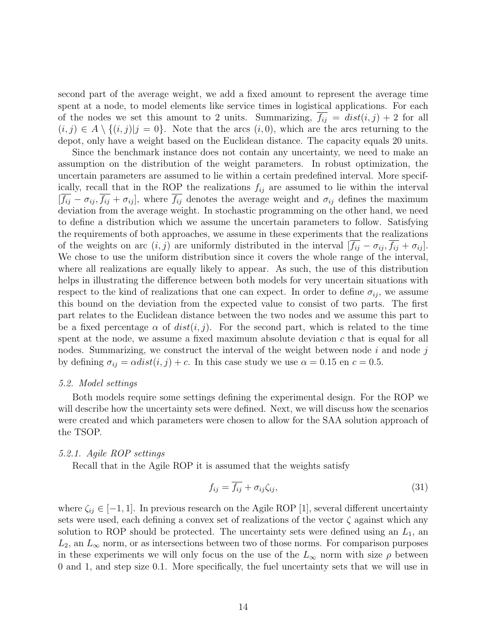second part of the average weight, we add a fixed amount to represent the average time spent at a node, to model elements like service times in logistical applications. For each of the nodes we set this amount to 2 units. Summarizing,  $f_{ij} = dist(i, j) + 2$  for all  $(i, j) \in A \setminus \{(i, j)|j = 0\}.$  Note that the arcs  $(i, 0)$ , which are the arcs returning to the depot, only have a weight based on the Euclidean distance. The capacity equals 20 units.

Since the benchmark instance does not contain any uncertainty, we need to make an assumption on the distribution of the weight parameters. In robust optimization, the uncertain parameters are assumed to lie within a certain predefined interval. More specifically, recall that in the ROP the realizations  $f_{ij}$  are assumed to lie within the interval  $[f_{ij} - \sigma_{ij}, f_{ij} + \sigma_{ij}]$ , where  $f_{ij}$  denotes the average weight and  $\sigma_{ij}$  defines the maximum deviation from the average weight. In stochastic programming on the other hand, we need to define a distribution which we assume the uncertain parameters to follow. Satisfying the requirements of both approaches, we assume in these experiments that the realizations of the weights on arc  $(i, j)$  are uniformly distributed in the interval  $[\overline{f_{ij}} - \sigma_{ij}, \overline{f_{ij}} + \sigma_{ij}]$ . We chose to use the uniform distribution since it covers the whole range of the interval, where all realizations are equally likely to appear. As such, the use of this distribution helps in illustrating the difference between both models for very uncertain situations with respect to the kind of realizations that one can expect. In order to define  $\sigma_{ij}$ , we assume this bound on the deviation from the expected value to consist of two parts. The first part relates to the Euclidean distance between the two nodes and we assume this part to be a fixed percentage  $\alpha$  of  $dist(i, j)$ . For the second part, which is related to the time spent at the node, we assume a fixed maximum absolute deviation  $c$  that is equal for all nodes. Summarizing, we construct the interval of the weight between node  $i$  and node  $j$ by defining  $\sigma_{ij} = \alpha dist(i, j) + c$ . In this case study we use  $\alpha = 0.15$  en  $c = 0.5$ .

#### 5.2. Model settings

Both models require some settings defining the experimental design. For the ROP we will describe how the uncertainty sets were defined. Next, we will discuss how the scenarios were created and which parameters were chosen to allow for the SAA solution approach of the TSOP.

# 5.2.1. Agile ROP settings

Recall that in the Agile ROP it is assumed that the weights satisfy

$$
f_{ij} = \overline{f_{ij}} + \sigma_{ij}\zeta_{ij},\tag{31}
$$

where  $\zeta_{ij} \in [-1, 1]$ . In previous research on the Agile ROP [1], several different uncertainty sets were used, each defining a convex set of realizations of the vector  $\zeta$  against which any solution to ROP should be protected. The uncertainty sets were defined using an  $L_1$ , an  $L_2$ , an  $L_{\infty}$  norm, or as intersections between two of those norms. For comparison purposes in these experiments we will only focus on the use of the  $L_{\infty}$  norm with size  $\rho$  between 0 and 1, and step size 0.1. More specifically, the fuel uncertainty sets that we will use in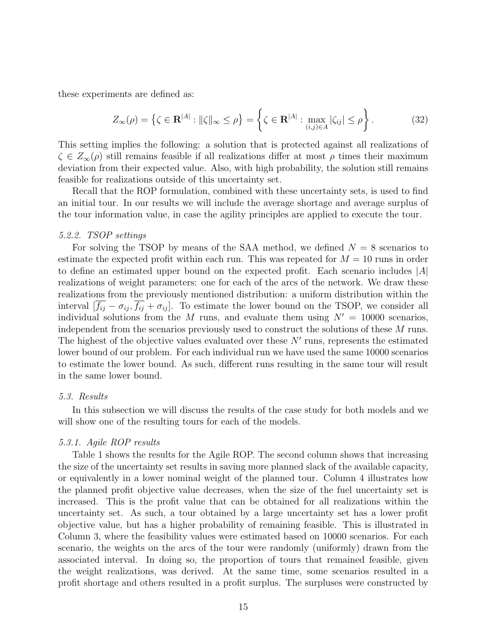these experiments are defined as:

$$
Z_{\infty}(\rho) = \left\{ \zeta \in \mathbf{R}^{|A|} : \|\zeta\|_{\infty} \le \rho \right\} = \left\{ \zeta \in \mathbf{R}^{|A|} : \max_{(i,j) \in A} |\zeta_{ij}| \le \rho \right\}.
$$
 (32)

This setting implies the following: a solution that is protected against all realizations of  $\zeta \in Z_{\infty}(\rho)$  still remains feasible if all realizations differ at most  $\rho$  times their maximum deviation from their expected value. Also, with high probability, the solution still remains feasible for realizations outside of this uncertainty set.

Recall that the ROP formulation, combined with these uncertainty sets, is used to find an initial tour. In our results we will include the average shortage and average surplus of the tour information value, in case the agility principles are applied to execute the tour.

#### 5.2.2. TSOP settings

For solving the TSOP by means of the SAA method, we defined  $N = 8$  scenarios to estimate the expected profit within each run. This was repeated for  $M = 10$  runs in order to define an estimated upper bound on the expected profit. Each scenario includes  $|A|$ realizations of weight parameters: one for each of the arcs of the network. We draw these realizations from the previously mentioned distribution: a uniform distribution within the interval  $[\overline{f_{ij}} - \sigma_{ij}, \overline{f_{ij}} + \sigma_{ij}]$ . To estimate the lower bound on the TSOP, we consider all individual solutions from the M runs, and evaluate them using  $N' = 10000$  scenarios, independent from the scenarios previously used to construct the solutions of these M runs. The highest of the objective values evaluated over these  $N'$  runs, represents the estimated lower bound of our problem. For each individual run we have used the same 10000 scenarios to estimate the lower bound. As such, different runs resulting in the same tour will result in the same lower bound.

#### 5.3. Results

In this subsection we will discuss the results of the case study for both models and we will show one of the resulting tours for each of the models.

# 5.3.1. Agile ROP results

Table 1 shows the results for the Agile ROP. The second column shows that increasing the size of the uncertainty set results in saving more planned slack of the available capacity, or equivalently in a lower nominal weight of the planned tour. Column 4 illustrates how the planned profit objective value decreases, when the size of the fuel uncertainty set is increased. This is the profit value that can be obtained for all realizations within the uncertainty set. As such, a tour obtained by a large uncertainty set has a lower profit objective value, but has a higher probability of remaining feasible. This is illustrated in Column 3, where the feasibility values were estimated based on 10000 scenarios. For each scenario, the weights on the arcs of the tour were randomly (uniformly) drawn from the associated interval. In doing so, the proportion of tours that remained feasible, given the weight realizations, was derived. At the same time, some scenarios resulted in a profit shortage and others resulted in a profit surplus. The surpluses were constructed by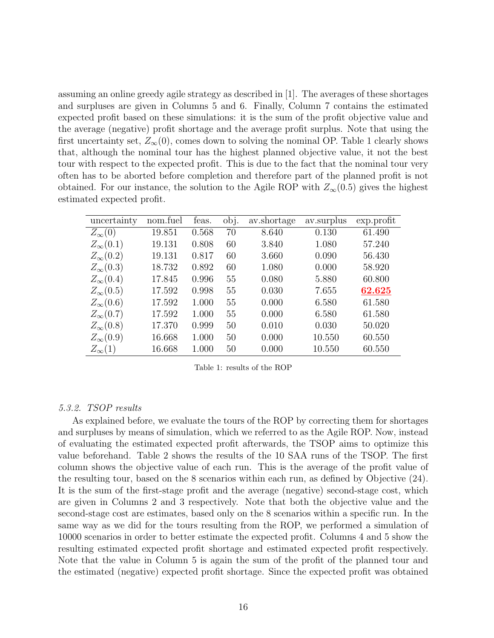assuming an online greedy agile strategy as described in [1]. The averages of these shortages and surpluses are given in Columns 5 and 6. Finally, Column 7 contains the estimated expected profit based on these simulations: it is the sum of the profit objective value and the average (negative) profit shortage and the average profit surplus. Note that using the first uncertainty set,  $Z_{\infty}(0)$ , comes down to solving the nominal OP. Table 1 clearly shows that, although the nominal tour has the highest planned objective value, it not the best tour with respect to the expected profit. This is due to the fact that the nominal tour very often has to be aborted before completion and therefore part of the planned profit is not obtained. For our instance, the solution to the Agile ROP with  $Z_{\infty}(0.5)$  gives the highest estimated expected profit.

| uncertainty       | nom.fuel | feas. | obj. | av.shortage | av.surplus | exp.profit |
|-------------------|----------|-------|------|-------------|------------|------------|
| $Z_{\infty}(0)$   | 19.851   | 0.568 | 70   | 8.640       | 0.130      | 61.490     |
| $Z_{\infty}(0.1)$ | 19.131   | 0.808 | 60   | 3.840       | 1.080      | 57.240     |
| $Z_{\infty}(0.2)$ | 19.131   | 0.817 | 60   | 3.660       | 0.090      | 56.430     |
| $Z_{\infty}(0.3)$ | 18.732   | 0.892 | 60   | 1.080       | 0.000      | 58.920     |
| $Z_{\infty}(0.4)$ | 17.845   | 0.996 | 55   | 0.080       | 5.880      | 60.800     |
| $Z_{\infty}(0.5)$ | 17.592   | 0.998 | 55   | 0.030       | 7.655      | 62.625     |
| $Z_{\infty}(0.6)$ | 17.592   | 1.000 | 55   | 0.000       | 6.580      | 61.580     |
| $Z_{\infty}(0.7)$ | 17.592   | 1.000 | 55   | 0.000       | 6.580      | 61.580     |
| $Z_{\infty}(0.8)$ | 17.370   | 0.999 | 50   | 0.010       | 0.030      | 50.020     |
| $Z_{\infty}(0.9)$ | 16.668   | 1.000 | 50   | 0.000       | 10.550     | 60.550     |
| $Z_{\infty}(1)$   | 16.668   | 1.000 | 50   | 0.000       | 10.550     | 60.550     |

Table 1: results of the ROP

# 5.3.2. TSOP results

As explained before, we evaluate the tours of the ROP by correcting them for shortages and surpluses by means of simulation, which we referred to as the Agile ROP. Now, instead of evaluating the estimated expected profit afterwards, the TSOP aims to optimize this value beforehand. Table 2 shows the results of the 10 SAA runs of the TSOP. The first column shows the objective value of each run. This is the average of the profit value of the resulting tour, based on the 8 scenarios within each run, as defined by Objective (24). It is the sum of the first-stage profit and the average (negative) second-stage cost, which are given in Columns 2 and 3 respectively. Note that both the objective value and the second-stage cost are estimates, based only on the 8 scenarios within a specific run. In the same way as we did for the tours resulting from the ROP, we performed a simulation of 10000 scenarios in order to better estimate the expected profit. Columns 4 and 5 show the resulting estimated expected profit shortage and estimated expected profit respectively. Note that the value in Column 5 is again the sum of the profit of the planned tour and the estimated (negative) expected profit shortage. Since the expected profit was obtained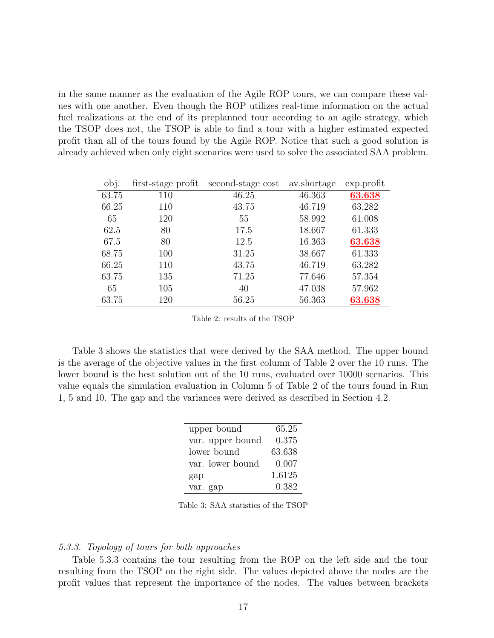in the same manner as the evaluation of the Agile ROP tours, we can compare these values with one another. Even though the ROP utilizes real-time information on the actual fuel realizations at the end of its preplanned tour according to an agile strategy, which the TSOP does not, the TSOP is able to find a tour with a higher estimated expected profit than all of the tours found by the Agile ROP. Notice that such a good solution is already achieved when only eight scenarios were used to solve the associated SAA problem.

| obj.  | first-stage profit | second-stage cost | av.shortage | exp.profit |
|-------|--------------------|-------------------|-------------|------------|
| 63.75 | 110                | 46.25             | 46.363      | 63.638     |
| 66.25 | 110                | 43.75             | 46.719      | 63.282     |
| 65    | 120                | 55                | 58.992      | 61.008     |
| 62.5  | 80                 | 17.5              | 18.667      | 61.333     |
| 67.5  | 80                 | 12.5              | 16.363      | 63.638     |
| 68.75 | 100                | 31.25             | 38.667      | 61.333     |
| 66.25 | 110                | 43.75             | 46.719      | 63.282     |
| 63.75 | 135                | 71.25             | 77.646      | 57.354     |
| 65    | 105                | 40                | 47.038      | 57.962     |
| 63.75 | 120                | 56.25             | 56.363      | 63.638     |

Table 2: results of the TSOP

Table 3 shows the statistics that were derived by the SAA method. The upper bound is the average of the objective values in the first column of Table 2 over the 10 runs. The lower bound is the best solution out of the 10 runs, evaluated over 10000 scenarios. This value equals the simulation evaluation in Column 5 of Table 2 of the tours found in Run 1, 5 and 10. The gap and the variances were derived as described in Section 4.2.

| upper bound      | 65.25  |
|------------------|--------|
| var. upper bound | 0.375  |
| lower bound      | 63.638 |
| var. lower bound | 0.007  |
| gap              | 1.6125 |
| var. gap         | 0.382  |

Table 3: SAA statistics of the TSOP

#### 5.3.3. Topology of tours for both approaches

Table 5.3.3 contains the tour resulting from the ROP on the left side and the tour resulting from the TSOP on the right side. The values depicted above the nodes are the profit values that represent the importance of the nodes. The values between brackets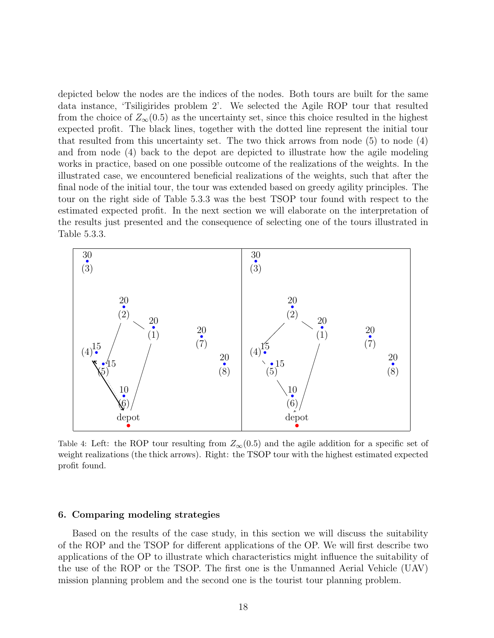depicted below the nodes are the indices of the nodes. Both tours are built for the same data instance, 'Tsiligirides problem 2'. We selected the Agile ROP tour that resulted from the choice of  $Z_{\infty}(0.5)$  as the uncertainty set, since this choice resulted in the highest expected profit. The black lines, together with the dotted line represent the initial tour that resulted from this uncertainty set. The two thick arrows from node  $(5)$  to node  $(4)$ and from node (4) back to the depot are depicted to illustrate how the agile modeling works in practice, based on one possible outcome of the realizations of the weights. In the illustrated case, we encountered beneficial realizations of the weights, such that after the final node of the initial tour, the tour was extended based on greedy agility principles. The tour on the right side of Table 5.3.3 was the best TSOP tour found with respect to the estimated expected profit. In the next section we will elaborate on the interpretation of the results just presented and the consequence of selecting one of the tours illustrated in Table 5.3.3.



Table 4: Left: the ROP tour resulting from  $Z_{\infty}(0.5)$  and the agile addition for a specific set of weight realizations (the thick arrows). Right: the TSOP tour with the highest estimated expected profit found.

## 6. Comparing modeling strategies

Based on the results of the case study, in this section we will discuss the suitability of the ROP and the TSOP for different applications of the OP. We will first describe two applications of the OP to illustrate which characteristics might influence the suitability of the use of the ROP or the TSOP. The first one is the Unmanned Aerial Vehicle (UAV) mission planning problem and the second one is the tourist tour planning problem.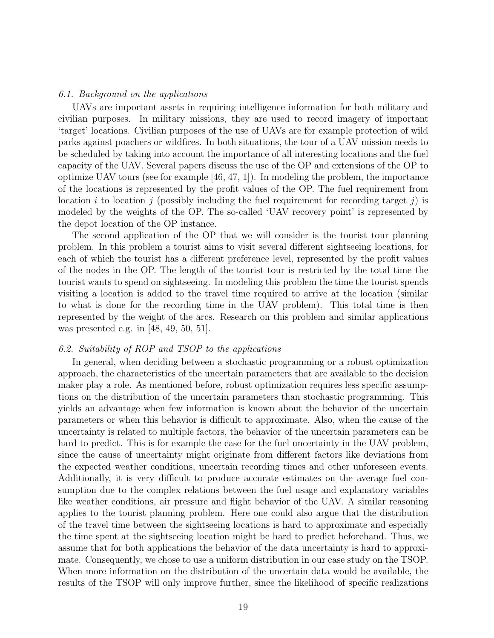## 6.1. Background on the applications

UAVs are important assets in requiring intelligence information for both military and civilian purposes. In military missions, they are used to record imagery of important 'target' locations. Civilian purposes of the use of UAVs are for example protection of wild parks against poachers or wildfires. In both situations, the tour of a UAV mission needs to be scheduled by taking into account the importance of all interesting locations and the fuel capacity of the UAV. Several papers discuss the use of the OP and extensions of the OP to optimize UAV tours (see for example  $[46, 47, 1]$ ). In modeling the problem, the importance of the locations is represented by the profit values of the OP. The fuel requirement from location i to location j (possibly including the fuel requirement for recording target j) is modeled by the weights of the OP. The so-called 'UAV recovery point' is represented by the depot location of the OP instance.

The second application of the OP that we will consider is the tourist tour planning problem. In this problem a tourist aims to visit several different sightseeing locations, for each of which the tourist has a different preference level, represented by the profit values of the nodes in the OP. The length of the tourist tour is restricted by the total time the tourist wants to spend on sightseeing. In modeling this problem the time the tourist spends visiting a location is added to the travel time required to arrive at the location (similar to what is done for the recording time in the UAV problem). This total time is then represented by the weight of the arcs. Research on this problem and similar applications was presented e.g. in [48, 49, 50, 51].

#### 6.2. Suitability of ROP and TSOP to the applications

In general, when deciding between a stochastic programming or a robust optimization approach, the characteristics of the uncertain parameters that are available to the decision maker play a role. As mentioned before, robust optimization requires less specific assumptions on the distribution of the uncertain parameters than stochastic programming. This yields an advantage when few information is known about the behavior of the uncertain parameters or when this behavior is difficult to approximate. Also, when the cause of the uncertainty is related to multiple factors, the behavior of the uncertain parameters can be hard to predict. This is for example the case for the fuel uncertainty in the UAV problem, since the cause of uncertainty might originate from different factors like deviations from the expected weather conditions, uncertain recording times and other unforeseen events. Additionally, it is very difficult to produce accurate estimates on the average fuel consumption due to the complex relations between the fuel usage and explanatory variables like weather conditions, air pressure and flight behavior of the UAV. A similar reasoning applies to the tourist planning problem. Here one could also argue that the distribution of the travel time between the sightseeing locations is hard to approximate and especially the time spent at the sightseeing location might be hard to predict beforehand. Thus, we assume that for both applications the behavior of the data uncertainty is hard to approximate. Consequently, we chose to use a uniform distribution in our case study on the TSOP. When more information on the distribution of the uncertain data would be available, the results of the TSOP will only improve further, since the likelihood of specific realizations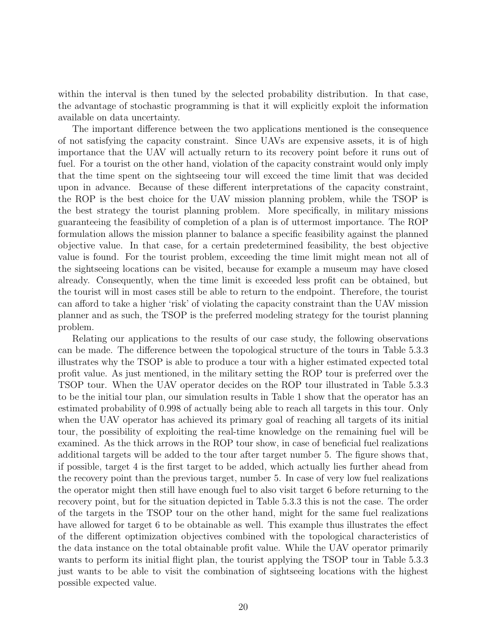within the interval is then tuned by the selected probability distribution. In that case, the advantage of stochastic programming is that it will explicitly exploit the information available on data uncertainty.

The important difference between the two applications mentioned is the consequence of not satisfying the capacity constraint. Since UAVs are expensive assets, it is of high importance that the UAV will actually return to its recovery point before it runs out of fuel. For a tourist on the other hand, violation of the capacity constraint would only imply that the time spent on the sightseeing tour will exceed the time limit that was decided upon in advance. Because of these different interpretations of the capacity constraint, the ROP is the best choice for the UAV mission planning problem, while the TSOP is the best strategy the tourist planning problem. More specifically, in military missions guaranteeing the feasibility of completion of a plan is of uttermost importance. The ROP formulation allows the mission planner to balance a specific feasibility against the planned objective value. In that case, for a certain predetermined feasibility, the best objective value is found. For the tourist problem, exceeding the time limit might mean not all of the sightseeing locations can be visited, because for example a museum may have closed already. Consequently, when the time limit is exceeded less profit can be obtained, but the tourist will in most cases still be able to return to the endpoint. Therefore, the tourist can afford to take a higher 'risk' of violating the capacity constraint than the UAV mission planner and as such, the TSOP is the preferred modeling strategy for the tourist planning problem.

Relating our applications to the results of our case study, the following observations can be made. The difference between the topological structure of the tours in Table 5.3.3 illustrates why the TSOP is able to produce a tour with a higher estimated expected total profit value. As just mentioned, in the military setting the ROP tour is preferred over the TSOP tour. When the UAV operator decides on the ROP tour illustrated in Table 5.3.3 to be the initial tour plan, our simulation results in Table 1 show that the operator has an estimated probability of 0.998 of actually being able to reach all targets in this tour. Only when the UAV operator has achieved its primary goal of reaching all targets of its initial tour, the possibility of exploiting the real-time knowledge on the remaining fuel will be examined. As the thick arrows in the ROP tour show, in case of beneficial fuel realizations additional targets will be added to the tour after target number 5. The figure shows that, if possible, target 4 is the first target to be added, which actually lies further ahead from the recovery point than the previous target, number 5. In case of very low fuel realizations the operator might then still have enough fuel to also visit target 6 before returning to the recovery point, but for the situation depicted in Table 5.3.3 this is not the case. The order of the targets in the TSOP tour on the other hand, might for the same fuel realizations have allowed for target 6 to be obtainable as well. This example thus illustrates the effect of the different optimization objectives combined with the topological characteristics of the data instance on the total obtainable profit value. While the UAV operator primarily wants to perform its initial flight plan, the tourist applying the TSOP tour in Table 5.3.3 just wants to be able to visit the combination of sightseeing locations with the highest possible expected value.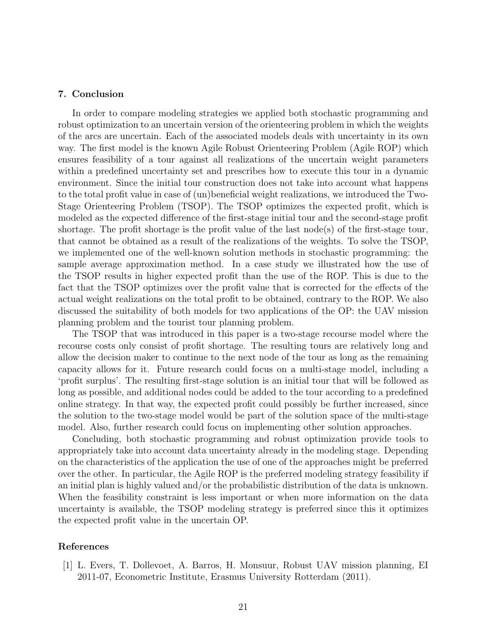# 7. Conclusion

In order to compare modeling strategies we applied both stochastic programming and robust optimization to an uncertain version of the orienteering problem in which the weights of the arcs are uncertain. Each of the associated models deals with uncertainty in its own way. The first model is the known Agile Robust Orienteering Problem (Agile ROP) which ensures feasibility of a tour against all realizations of the uncertain weight parameters within a predefined uncertainty set and prescribes how to execute this tour in a dynamic environment. Since the initial tour construction does not take into account what happens to the total profit value in case of (un)beneficial weight realizations, we introduced the Two-Stage Orienteering Problem (TSOP). The TSOP optimizes the expected profit, which is modeled as the expected difference of the first-stage initial tour and the second-stage profit shortage. The profit shortage is the profit value of the last node(s) of the first-stage tour, that cannot be obtained as a result of the realizations of the weights. To solve the TSOP, we implemented one of the well-known solution methods in stochastic programming: the sample average approximation method. In a case study we illustrated how the use of the TSOP results in higher expected profit than the use of the ROP. This is due to the fact that the TSOP optimizes over the profit value that is corrected for the effects of the actual weight realizations on the total profit to be obtained, contrary to the ROP. We also discussed the suitability of both models for two applications of the OP: the UAV mission planning problem and the tourist tour planning problem.

The TSOP that was introduced in this paper is a two-stage recourse model where the recourse costs only consist of profit shortage. The resulting tours are relatively long and allow the decision maker to continue to the next node of the tour as long as the remaining capacity allows for it. Future research could focus on a multi-stage model, including a 'profit surplus'. The resulting first-stage solution is an initial tour that will be followed as long as possible, and additional nodes could be added to the tour according to a predefined online strategy. In that way, the expected profit could possibly be further increased, since the solution to the two-stage model would be part of the solution space of the multi-stage model. Also, further research could focus on implementing other solution approaches.

Concluding, both stochastic programming and robust optimization provide tools to appropriately take into account data uncertainty already in the modeling stage. Depending on the characteristics of the application the use of one of the approaches might be preferred over the other. In particular, the Agile ROP is the preferred modeling strategy feasibility if an initial plan is highly valued and/or the probabilistic distribution of the data is unknown. When the feasibility constraint is less important or when more information on the data uncertainty is available, the TSOP modeling strategy is preferred since this it optimizes the expected profit value in the uncertain OP.

# References

[1] L. Evers, T. Dollevoet, A. Barros, H. Monsuur, Robust UAV mission planning, EI 2011-07, Econometric Institute, Erasmus University Rotterdam (2011).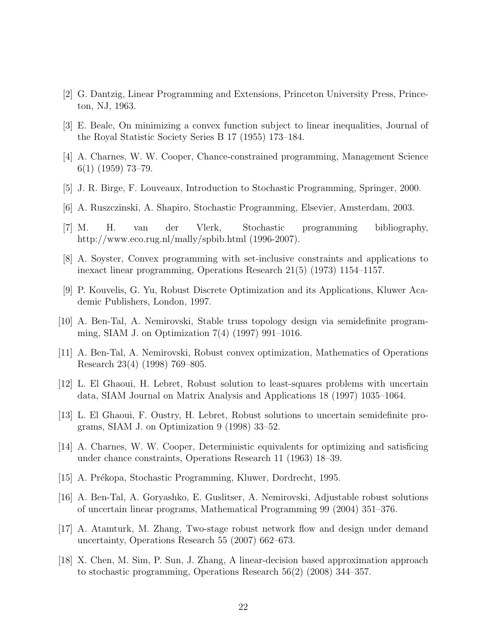- [2] G. Dantzig, Linear Programming and Extensions, Princeton University Press, Princeton, NJ, 1963.
- [3] E. Beale, On minimizing a convex function subject to linear inequalities, Journal of the Royal Statistic Society Series B 17 (1955) 173–184.
- [4] A. Charnes, W. W. Cooper, Chance-constrained programming, Management Science 6(1) (1959) 73–79.
- [5] J. R. Birge, F. Louveaux, Introduction to Stochastic Programming, Springer, 2000.
- [6] A. Ruszczinski, A. Shapiro, Stochastic Programming, Elsevier, Amsterdam, 2003.
- [7] M. H. van der Vlerk, Stochastic programming bibliography, http://www.eco.rug.nl/mally/spbib.html (1996-2007).
- [8] A. Soyster, Convex programming with set-inclusive constraints and applications to inexact linear programming, Operations Research 21(5) (1973) 1154–1157.
- [9] P. Kouvelis, G. Yu, Robust Discrete Optimization and its Applications, Kluwer Academic Publishers, London, 1997.
- [10] A. Ben-Tal, A. Nemirovski, Stable truss topology design via semidefinite programming, SIAM J. on Optimization 7(4) (1997) 991–1016.
- [11] A. Ben-Tal, A. Nemirovski, Robust convex optimization, Mathematics of Operations Research 23(4) (1998) 769–805.
- [12] L. El Ghaoui, H. Lebret, Robust solution to least-squares problems with uncertain data, SIAM Journal on Matrix Analysis and Applications 18 (1997) 1035–1064.
- [13] L. El Ghaoui, F. Oustry, H. Lebret, Robust solutions to uncertain semidefinite programs, SIAM J. on Optimization 9 (1998) 33–52.
- [14] A. Charnes, W. W. Cooper, Deterministic equivalents for optimizing and satisficing under chance constraints, Operations Research 11 (1963) 18–39.
- [15] A. Prékopa, Stochastic Programming, Kluwer, Dordrecht, 1995.
- [16] A. Ben-Tal, A. Goryashko, E. Guslitser, A. Nemirovski, Adjustable robust solutions of uncertain linear programs, Mathematical Programming 99 (2004) 351–376.
- [17] A. Atamturk, M. Zhang, Two-stage robust network flow and design under demand uncertainty, Operations Research 55 (2007) 662–673.
- [18] X. Chen, M. Sim, P. Sun, J. Zhang, A linear-decision based approximation approach to stochastic programming, Operations Research 56(2) (2008) 344–357.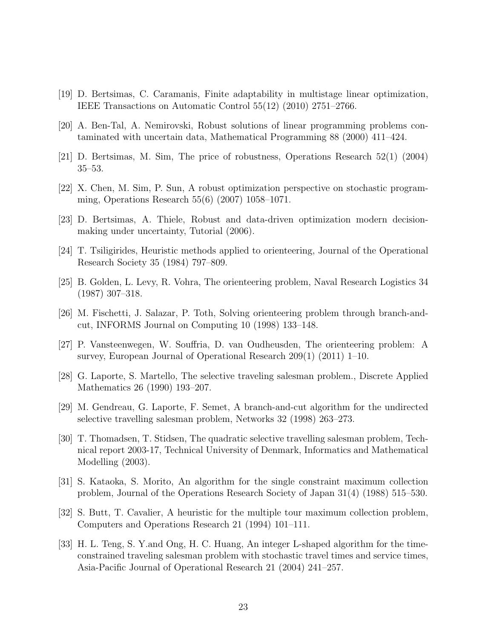- [19] D. Bertsimas, C. Caramanis, Finite adaptability in multistage linear optimization, IEEE Transactions on Automatic Control 55(12) (2010) 2751–2766.
- [20] A. Ben-Tal, A. Nemirovski, Robust solutions of linear programming problems contaminated with uncertain data, Mathematical Programming 88 (2000) 411–424.
- [21] D. Bertsimas, M. Sim, The price of robustness, Operations Research 52(1) (2004) 35–53.
- [22] X. Chen, M. Sim, P. Sun, A robust optimization perspective on stochastic programming, Operations Research 55(6) (2007) 1058–1071.
- [23] D. Bertsimas, A. Thiele, Robust and data-driven optimization modern decisionmaking under uncertainty, Tutorial (2006).
- [24] T. Tsiligirides, Heuristic methods applied to orienteering, Journal of the Operational Research Society 35 (1984) 797–809.
- [25] B. Golden, L. Levy, R. Vohra, The orienteering problem, Naval Research Logistics 34 (1987) 307–318.
- [26] M. Fischetti, J. Salazar, P. Toth, Solving orienteering problem through branch-andcut, INFORMS Journal on Computing 10 (1998) 133–148.
- [27] P. Vansteenwegen, W. Souffria, D. van Oudheusden, The orienteering problem: A survey, European Journal of Operational Research 209(1) (2011) 1–10.
- [28] G. Laporte, S. Martello, The selective traveling salesman problem., Discrete Applied Mathematics 26 (1990) 193–207.
- [29] M. Gendreau, G. Laporte, F. Semet, A branch-and-cut algorithm for the undirected selective travelling salesman problem, Networks 32 (1998) 263–273.
- [30] T. Thomadsen, T. Stidsen, The quadratic selective travelling salesman problem, Technical report 2003-17, Technical University of Denmark, Informatics and Mathematical Modelling (2003).
- [31] S. Kataoka, S. Morito, An algorithm for the single constraint maximum collection problem, Journal of the Operations Research Society of Japan 31(4) (1988) 515–530.
- [32] S. Butt, T. Cavalier, A heuristic for the multiple tour maximum collection problem, Computers and Operations Research 21 (1994) 101–111.
- [33] H. L. Teng, S. Y.and Ong, H. C. Huang, An integer L-shaped algorithm for the timeconstrained traveling salesman problem with stochastic travel times and service times, Asia-Pacific Journal of Operational Research 21 (2004) 241–257.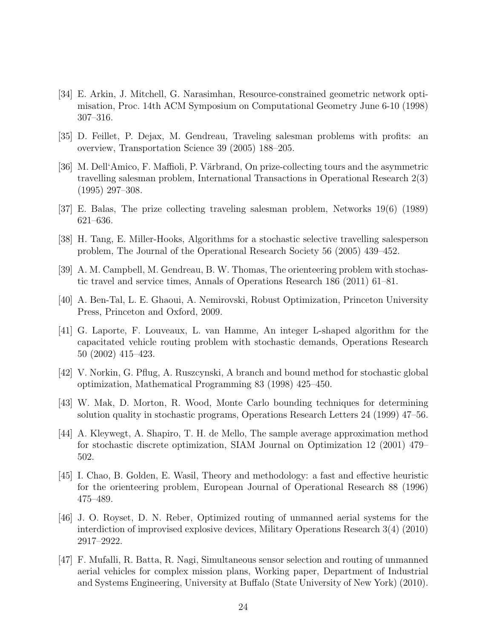- [34] E. Arkin, J. Mitchell, G. Narasimhan, Resource-constrained geometric network optimisation, Proc. 14th ACM Symposium on Computational Geometry June 6-10 (1998) 307–316.
- [35] D. Feillet, P. Dejax, M. Gendreau, Traveling salesman problems with profits: an overview, Transportation Science 39 (2005) 188–205.
- [36] M. Dell'Amico, F. Maffioli, P. Värbrand, On prize-collecting tours and the asymmetric travelling salesman problem, International Transactions in Operational Research 2(3) (1995) 297–308.
- [37] E. Balas, The prize collecting traveling salesman problem, Networks 19(6) (1989) 621–636.
- [38] H. Tang, E. Miller-Hooks, Algorithms for a stochastic selective travelling salesperson problem, The Journal of the Operational Research Society 56 (2005) 439–452.
- [39] A. M. Campbell, M. Gendreau, B. W. Thomas, The orienteering problem with stochastic travel and service times, Annals of Operations Research 186 (2011) 61–81.
- [40] A. Ben-Tal, L. E. Ghaoui, A. Nemirovski, Robust Optimization, Princeton University Press, Princeton and Oxford, 2009.
- [41] G. Laporte, F. Louveaux, L. van Hamme, An integer L-shaped algorithm for the capacitated vehicle routing problem with stochastic demands, Operations Research 50 (2002) 415–423.
- [42] V. Norkin, G. Pflug, A. Ruszcynski, A branch and bound method for stochastic global optimization, Mathematical Programming 83 (1998) 425–450.
- [43] W. Mak, D. Morton, R. Wood, Monte Carlo bounding techniques for determining solution quality in stochastic programs, Operations Research Letters 24 (1999) 47–56.
- [44] A. Kleywegt, A. Shapiro, T. H. de Mello, The sample average approximation method for stochastic discrete optimization, SIAM Journal on Optimization 12 (2001) 479– 502.
- [45] I. Chao, B. Golden, E. Wasil, Theory and methodology: a fast and effective heuristic for the orienteering problem, European Journal of Operational Research 88 (1996) 475–489.
- [46] J. O. Royset, D. N. Reber, Optimized routing of unmanned aerial systems for the interdiction of improvised explosive devices, Military Operations Research 3(4) (2010) 2917–2922.
- [47] F. Mufalli, R. Batta, R. Nagi, Simultaneous sensor selection and routing of unmanned aerial vehicles for complex mission plans, Working paper, Department of Industrial and Systems Engineering, University at Buffalo (State University of New York) (2010).